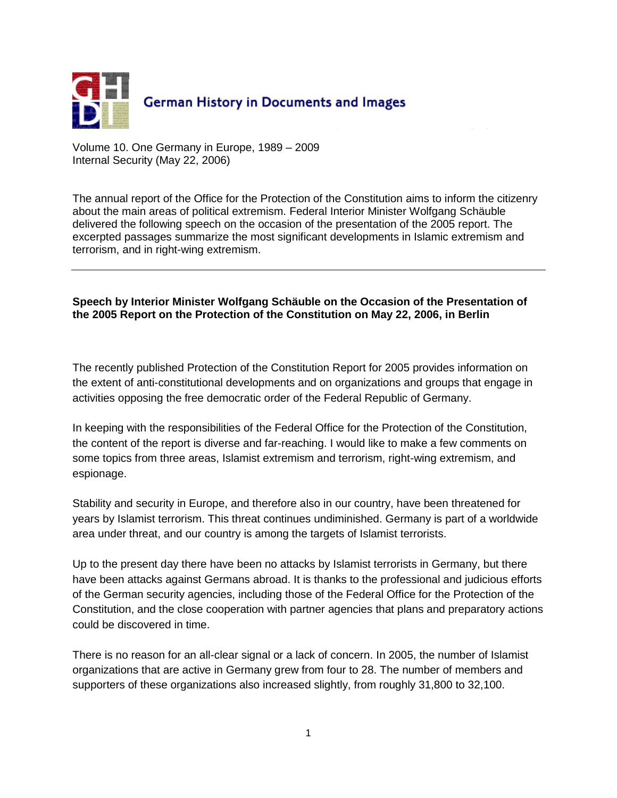

Volume 10. One Germany in Europe, 1989 – 2009 Internal Security (May 22, 2006)

The annual report of the Office for the Protection of the Constitution aims to inform the citizenry about the main areas of political extremism. Federal Interior Minister Wolfgang Schäuble delivered the following speech on the occasion of the presentation of the 2005 report. The excerpted passages summarize the most significant developments in Islamic extremism and terrorism, and in right-wing extremism.

## **Speech by Interior Minister Wolfgang Schäuble on the Occasion of the Presentation of the 2005 Report on the Protection of the Constitution on May 22, 2006, in Berlin**

The recently published Protection of the Constitution Report for 2005 provides information on the extent of anti-constitutional developments and on organizations and groups that engage in activities opposing the free democratic order of the Federal Republic of Germany.

In keeping with the responsibilities of the Federal Office for the Protection of the Constitution, the content of the report is diverse and far-reaching. I would like to make a few comments on some topics from three areas, Islamist extremism and terrorism, right-wing extremism, and espionage.

Stability and security in Europe, and therefore also in our country, have been threatened for years by Islamist terrorism. This threat continues undiminished. Germany is part of a worldwide area under threat, and our country is among the targets of Islamist terrorists.

Up to the present day there have been no attacks by Islamist terrorists in Germany, but there have been attacks against Germans abroad. It is thanks to the professional and judicious efforts of the German security agencies, including those of the Federal Office for the Protection of the Constitution, and the close cooperation with partner agencies that plans and preparatory actions could be discovered in time.

There is no reason for an all-clear signal or a lack of concern. In 2005, the number of Islamist organizations that are active in Germany grew from four to 28. The number of members and supporters of these organizations also increased slightly, from roughly 31,800 to 32,100.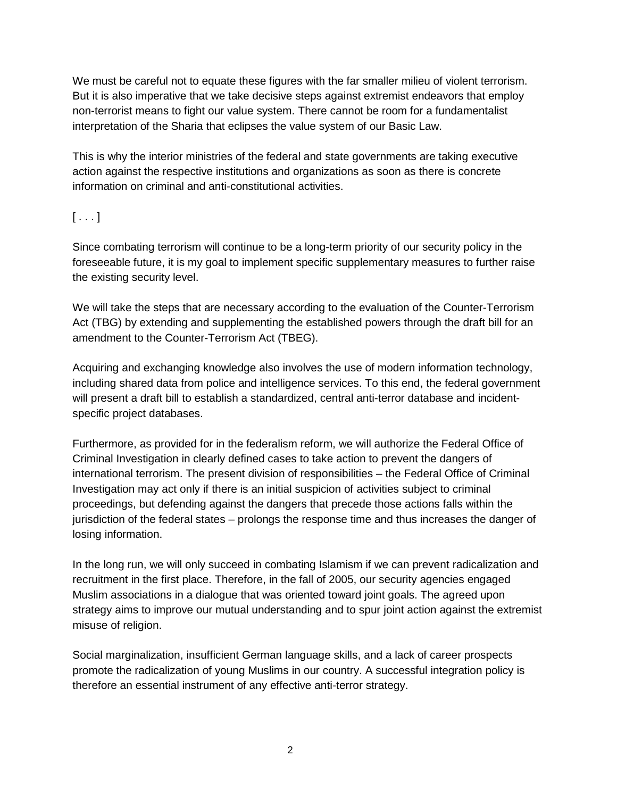We must be careful not to equate these figures with the far smaller milieu of violent terrorism. But it is also imperative that we take decisive steps against extremist endeavors that employ non-terrorist means to fight our value system. There cannot be room for a fundamentalist interpretation of the Sharia that eclipses the value system of our Basic Law.

This is why the interior ministries of the federal and state governments are taking executive action against the respective institutions and organizations as soon as there is concrete information on criminal and anti-constitutional activities.

## $[\ldots]$

Since combating terrorism will continue to be a long-term priority of our security policy in the foreseeable future, it is my goal to implement specific supplementary measures to further raise the existing security level.

We will take the steps that are necessary according to the evaluation of the Counter-Terrorism Act (TBG) by extending and supplementing the established powers through the draft bill for an amendment to the Counter-Terrorism Act (TBEG).

Acquiring and exchanging knowledge also involves the use of modern information technology, including shared data from police and intelligence services. To this end, the federal government will present a draft bill to establish a standardized, central anti-terror database and incidentspecific project databases.

Furthermore, as provided for in the federalism reform, we will authorize the Federal Office of Criminal Investigation in clearly defined cases to take action to prevent the dangers of international terrorism. The present division of responsibilities – the Federal Office of Criminal Investigation may act only if there is an initial suspicion of activities subject to criminal proceedings, but defending against the dangers that precede those actions falls within the jurisdiction of the federal states – prolongs the response time and thus increases the danger of losing information.

In the long run, we will only succeed in combating Islamism if we can prevent radicalization and recruitment in the first place. Therefore, in the fall of 2005, our security agencies engaged Muslim associations in a dialogue that was oriented toward joint goals. The agreed upon strategy aims to improve our mutual understanding and to spur joint action against the extremist misuse of religion.

Social marginalization, insufficient German language skills, and a lack of career prospects promote the radicalization of young Muslims in our country. A successful integration policy is therefore an essential instrument of any effective anti-terror strategy.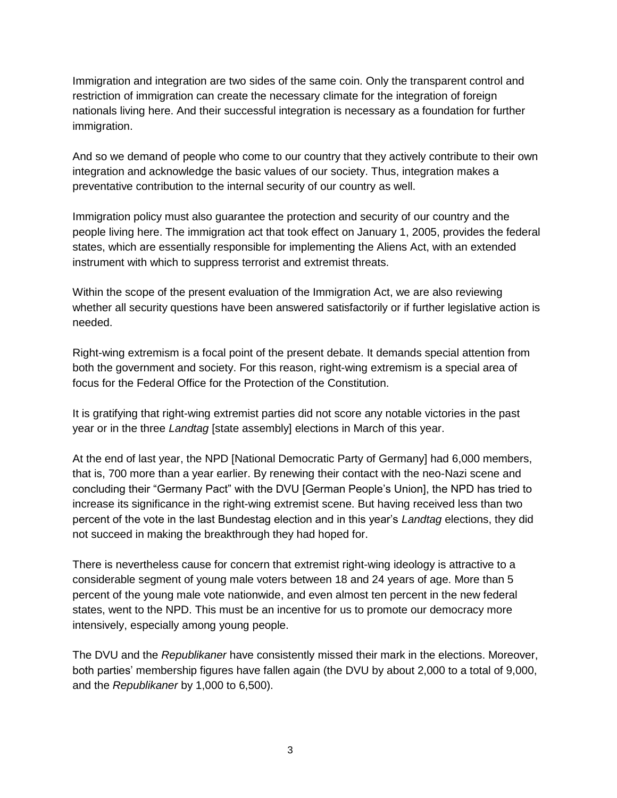Immigration and integration are two sides of the same coin. Only the transparent control and restriction of immigration can create the necessary climate for the integration of foreign nationals living here. And their successful integration is necessary as a foundation for further immigration.

And so we demand of people who come to our country that they actively contribute to their own integration and acknowledge the basic values of our society. Thus, integration makes a preventative contribution to the internal security of our country as well.

Immigration policy must also guarantee the protection and security of our country and the people living here. The immigration act that took effect on January 1, 2005, provides the federal states, which are essentially responsible for implementing the Aliens Act, with an extended instrument with which to suppress terrorist and extremist threats.

Within the scope of the present evaluation of the Immigration Act, we are also reviewing whether all security questions have been answered satisfactorily or if further legislative action is needed.

Right-wing extremism is a focal point of the present debate. It demands special attention from both the government and society. For this reason, right-wing extremism is a special area of focus for the Federal Office for the Protection of the Constitution.

It is gratifying that right-wing extremist parties did not score any notable victories in the past year or in the three *Landtag* [state assembly] elections in March of this year.

At the end of last year, the NPD [National Democratic Party of Germany] had 6,000 members, that is, 700 more than a year earlier. By renewing their contact with the neo-Nazi scene and concluding their "Germany Pact" with the DVU [German People's Union], the NPD has tried to increase its significance in the right-wing extremist scene. But having received less than two percent of the vote in the last Bundestag election and in this year's *Landtag* elections, they did not succeed in making the breakthrough they had hoped for.

There is nevertheless cause for concern that extremist right-wing ideology is attractive to a considerable segment of young male voters between 18 and 24 years of age. More than 5 percent of the young male vote nationwide, and even almost ten percent in the new federal states, went to the NPD. This must be an incentive for us to promote our democracy more intensively, especially among young people.

The DVU and the *Republikaner* have consistently missed their mark in the elections. Moreover, both parties' membership figures have fallen again (the DVU by about 2,000 to a total of 9,000, and the *Republikaner* by 1,000 to 6,500).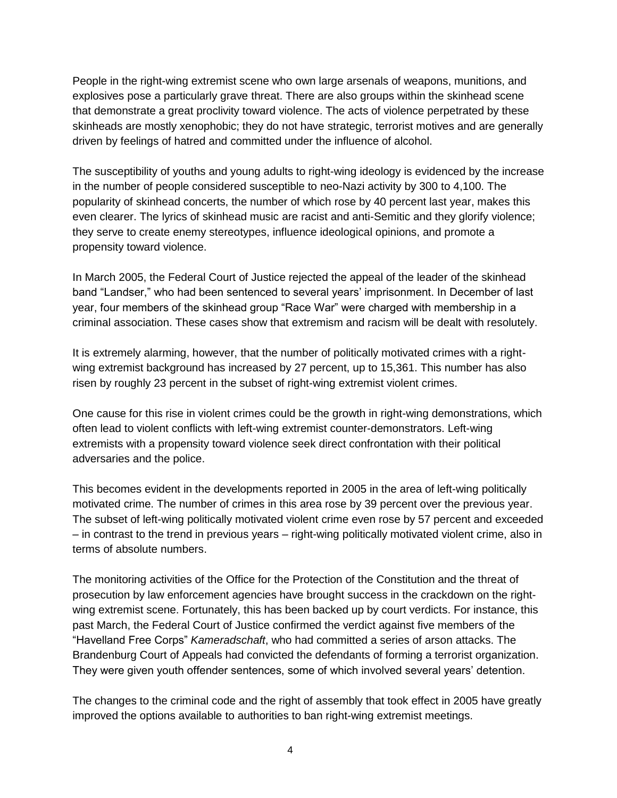People in the right-wing extremist scene who own large arsenals of weapons, munitions, and explosives pose a particularly grave threat. There are also groups within the skinhead scene that demonstrate a great proclivity toward violence. The acts of violence perpetrated by these skinheads are mostly xenophobic; they do not have strategic, terrorist motives and are generally driven by feelings of hatred and committed under the influence of alcohol.

The susceptibility of youths and young adults to right-wing ideology is evidenced by the increase in the number of people considered susceptible to neo-Nazi activity by 300 to 4,100. The popularity of skinhead concerts, the number of which rose by 40 percent last year, makes this even clearer. The lyrics of skinhead music are racist and anti-Semitic and they glorify violence; they serve to create enemy stereotypes, influence ideological opinions, and promote a propensity toward violence.

In March 2005, the Federal Court of Justice rejected the appeal of the leader of the skinhead band "Landser," who had been sentenced to several years' imprisonment. In December of last year, four members of the skinhead group "Race War" were charged with membership in a criminal association. These cases show that extremism and racism will be dealt with resolutely.

It is extremely alarming, however, that the number of politically motivated crimes with a rightwing extremist background has increased by 27 percent, up to 15,361. This number has also risen by roughly 23 percent in the subset of right-wing extremist violent crimes.

One cause for this rise in violent crimes could be the growth in right-wing demonstrations, which often lead to violent conflicts with left-wing extremist counter-demonstrators. Left-wing extremists with a propensity toward violence seek direct confrontation with their political adversaries and the police.

This becomes evident in the developments reported in 2005 in the area of left-wing politically motivated crime. The number of crimes in this area rose by 39 percent over the previous year. The subset of left-wing politically motivated violent crime even rose by 57 percent and exceeded – in contrast to the trend in previous years – right-wing politically motivated violent crime, also in terms of absolute numbers.

The monitoring activities of the Office for the Protection of the Constitution and the threat of prosecution by law enforcement agencies have brought success in the crackdown on the rightwing extremist scene. Fortunately, this has been backed up by court verdicts. For instance, this past March, the Federal Court of Justice confirmed the verdict against five members of the "Havelland Free Corps" *Kameradschaft*, who had committed a series of arson attacks. The Brandenburg Court of Appeals had convicted the defendants of forming a terrorist organization. They were given youth offender sentences, some of which involved several years' detention.

The changes to the criminal code and the right of assembly that took effect in 2005 have greatly improved the options available to authorities to ban right-wing extremist meetings.